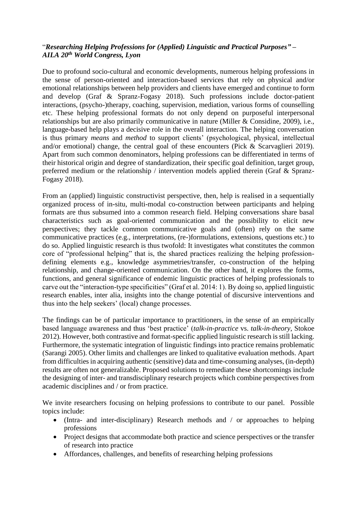## "*Researching Helping Professions for (Applied) Linguistic and Practical Purposes" – AILA 20th World Congress, Lyon*

Due to profound socio-cultural and economic developments, numerous helping professions in the sense of person-oriented and interaction-based services that rely on physical and/or emotional relationships between help providers and clients have emerged and continue to form and develop (Graf & Spranz-Fogasy 2018). Such professions include doctor-patient interactions, (psycho-)therapy, coaching, supervision, mediation, various forms of counselling etc. These helping professional formats do not only depend on purposeful interpersonal relationships but are also primarily communicative in nature (Miller & Considine, 2009), i.e., language-based help plays a decisive role in the overall interaction. The helping conversation is thus primary *means* and *method* to support clients' (psychological, physical, intellectual and/or emotional) change, the central goal of these encounters (Pick & Scarvaglieri 2019). Apart from such common denominators, helping professions can be differentiated in terms of their historical origin and degree of standardization, their specific goal definition, target group, preferred medium or the relationship / intervention models applied therein (Graf & Spranz-Fogasy 2018).

From an (applied) linguistic constructivist perspective, then, help is realised in a sequentially organized process of in-situ, multi-modal co-construction between participants and helping formats are thus subsumed into a common research field. Helping conversations share basal characteristics such as goal-oriented communication and the possibility to elicit new perspectives; they tackle common communicative goals and (often) rely on the same communicative practices (e.g., interpretations, (re-)formulations, extensions, questions etc.) to do so. Applied linguistic research is thus twofold: It investigates what constitutes the common core of "professional helping" that is, the shared practices realizing the helping professiondefining elements e.g., knowledge asymmetries/transfer, co-construction of the helping relationship, and change-oriented communication. On the other hand, it explores the forms, functions, and general significance of endemic linguistic practices of helping professionals to carve out the "interaction-type specificities" (Graf et al. 2014: 1). By doing so, applied linguistic research enables, inter alia, insights into the change potential of discursive interventions and thus into the help seekers' (local) change processes.

The findings can be of particular importance to practitioners, in the sense of an empirically based language awareness and thus 'best practice' (*talk-in-practice* vs. *talk-in-theory*, Stokoe 2012). However, both contrastive and format-specific applied linguistic research is still lacking. Furthermore, the systematic integration of linguistic findings into practice remains problematic (Sarangi 2005). Other limits and challenges are linked to qualitative evaluation methods. Apart from difficulties in acquiring authentic (sensitive) data and time-consuming analyses, (in-depth) results are often not generalizable. Proposed solutions to remediate these shortcomings include the designing of inter- and transdisciplinary research projects which combine perspectives from academic disciplines and / or from practice.

We invite researchers focusing on helping professions to contribute to our panel. Possible topics include:

- (Intra- and inter-disciplinary) Research methods and / or approaches to helping professions
- Project designs that accommodate both practice and science perspectives or the transfer of research into practice
- Affordances, challenges, and benefits of researching helping professions